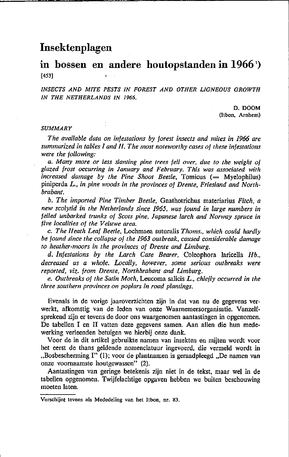# **Insektenplagen**

# **in bossen en andere houtopstanden in 1966** ') [453]

*INSECTS AND MITE PESTS IN FOREST AND OTHER LIGNEOUS GROWTH IN THE NETHERLANDS IN 1966.* 

> D.DOOM (Itbon, Arnhem)

#### *SUMMARY*

*The available data on intestations by torest inseets and mites in* 1966 *are summarized in tables land 11. The most noteworthy cases of these infestations were the fol/owing:* 

*a.Many more or less slanting pine trees feil over, due to the weight of glazed frost occurring in January and February. This was associated with increased damage by the Pine Shoot Beetle, Tomicus (= Myelophilus)* piniperda L., *in pine woods in the provinces of Drente, Friesland and Northbrabant.* 

*b. The imported Pine Timber Beetie,* Gnathotrichus materiarius *Fiteh, a new seolytid in the Netherlands sinee* 1965, *was found in large numbers in felled unbarked trunks of Scots pine, lapanese lareh and Norway spruee in live localities of the Veluwe area.* 

e. *The Heath Leaf Beetie,* Lochmaea suturalis *Thoms., whieh eould hardly be found sinee the col/apse of the* 1963 *outbreak, eaused eonsiderable damage to heather-moors in the provinces of Drente and Limburg.* 

*d. lnfestations by the Lareh Case Bearer,* Coleophora laricella *Hb., deereased as a whoie. Loeal/y, however, some serious outbreaks were reported, viz. trom Drente, Northbrabant and Limburg.* 

*e. Outbreaks of the Satin Moth,* Leucoma salicis *L., ehiefly occurred in the three southern provinces on poplars in road plantings.* 

Evenals in de vorige jaaroverzichten zijn in dat van nu de gegevens verwerkt, afkomstig van de leden van onze Waarnemersorganisatie. Vanzelfsprekend zijn er tevens de door ons waargenomen aantastingen in opgenomen. De tabellen I en II vatten deze gegevens samen. Aan allen die hun medewerking verleenden betuigen we hierbij onze dank.

Voor de in dit artikel gebruikte namen van insekten en mijten wordt voor het eerst de thans geldende nomenclatuur ingevoerd, die vermeld wordt in "Bosbescherming I" (1); voor de plantnamen is geraadpleegd "De namen van onze voornaamste houtgewassen" (2).

Aantastingen van geringe betekenis zijn niet in de tekst, maar wel in de tabellen opgenomen. Twijfelachtige opgaven hebben we buiten beschouwing moeten laten.

**Verschijnt tevens als Mededeling van het Itbon, nr. 83.**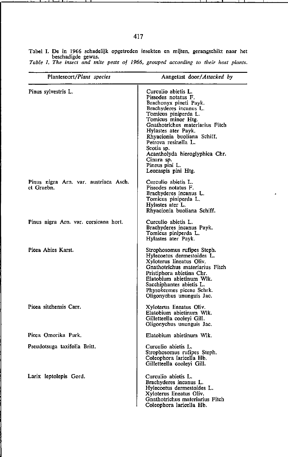| Plantesoort/Plant species             | Aangetast door/Attacked by                                   |
|---------------------------------------|--------------------------------------------------------------|
|                                       |                                                              |
| Pinus sylvestris L.                   | Curculio abietis L.                                          |
|                                       | Pissodes notatus F.                                          |
|                                       | Brachonyx pineti Payk.<br>Brachyderes incanus L.             |
|                                       | Tomicus piniperda L.                                         |
|                                       | Tomicus minor Htg.                                           |
|                                       | Gnathotrichus materiarius Fitch                              |
|                                       | Hylastes ater Payk.                                          |
|                                       | Rhyacionia buoliana Schiff.<br>Petrova resinella L.          |
|                                       | Scotia sp.                                                   |
|                                       | Acantholyda hieroglyphica Chr.                               |
|                                       | Cinara sp.                                                   |
|                                       | Pineus pini L.<br>Leucaspis pini Htg.                        |
|                                       |                                                              |
| Pinus nigra Arn. var. austriaca Asch. | Curculio abietis L.                                          |
| et Graebn.                            | Pissodes notatus F.                                          |
|                                       | Brachyderes incanus L.<br>Tomicus piniperda L.               |
|                                       | Hylastes ater L.                                             |
|                                       | Rhyacionia buoliana Schiff.                                  |
| Pinus nigra Arn. var. corsicana hort. | Curculio abietis L.                                          |
|                                       | Brachyderes incanus Payk.                                    |
|                                       | Tomicus piniperda L.                                         |
|                                       | Hylastes ater Payk.                                          |
| Picea Abies Karst.                    | Strophosomus rufipes Steph.                                  |
|                                       | Hylecoetus dermestoides L.                                   |
|                                       | Xyloterus lineatus Oliv.                                     |
|                                       | Gnathotrichus materiarius Fitch<br>Pristiphora abietina Chr. |
|                                       | Elatobium abietinum Włk.                                     |
|                                       | Sacchiphantes abietis L.                                     |
|                                       | Physokermes piceae Schrk.                                    |
|                                       | Oligonychus ununguis Jac.                                    |
| Picea sitchensis Carr.                | Xyloterus lineatus Oliv.                                     |
|                                       | Elatobium abietinum Wlk.                                     |
|                                       | Gilletteella coolevi Gill.<br>Oligonychus ununguis Jac.      |
|                                       |                                                              |
| Picea Omorika Purk.                   | Elatobium abietinum Wlk.                                     |
| Pseudotsuga taxifolia Britt.          | Curculio abietis L.                                          |
|                                       | Strophosomus rufipes Steph.                                  |
|                                       | Coleophora laricella Hb.<br>Gilletteella cooleyi Gill.       |
|                                       |                                                              |
| Larix leptolepis Gord.                | Curculio abietis L.                                          |
|                                       | Brachyderes incanus L.                                       |
|                                       | Hylecoetus dermestoides L.                                   |
|                                       | Xyloterus lineatus Oliv.<br>Gnathotrichus materiarius Fitch  |
|                                       | Coleophora laricella Hb.                                     |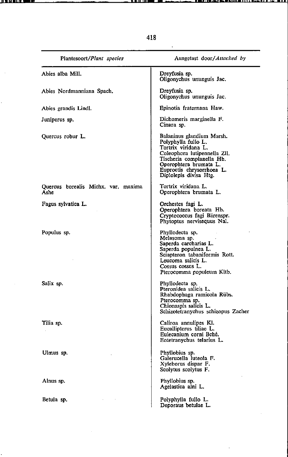| Plantesoort/Plant species                   | Aangetast door/Attacked by                                                                                                                                                                                            |
|---------------------------------------------|-----------------------------------------------------------------------------------------------------------------------------------------------------------------------------------------------------------------------|
| Abies alba Mill.                            | Dreyfusia sp.<br>Oligonychus ununguis Jac.                                                                                                                                                                            |
| Abies Nordmanniana Spach.                   | Dreyfusia sp.<br>Oligonychus ununguis Jac.                                                                                                                                                                            |
| Abies grandis Lindl.                        | Epinotia fraternana Haw.                                                                                                                                                                                              |
| Juniperus sp.                               | Dichomeris marginella F.<br>Cinara sp.                                                                                                                                                                                |
| Quercus robur L.                            | Balaninus glandium Marsh.<br>Polyphylia fullo L.<br>Tortrix viridana L.<br>Coleophora lutipennella ZII.<br>Tischeria complanella Hb.<br>Operophtera brumata L.<br>Euproctis chrysorrhoea L.<br>Diplolepis divisa Htg. |
| Quercus borealis Michx. var. maxima<br>Ashe | Tortrix viridana L.<br>Operophtera brumata L.                                                                                                                                                                         |
| Fagus sylvatica L.                          | Orchestes fagi L.<br>Operophtera boreata Hb.<br>Cryptococcus fagi Bärenspr.<br>Phytoptus nervisequus Nal.                                                                                                             |
| Populus sp.                                 | Phyllodecta sp.<br>Melasoma sp.<br>Saperda carcharias L.<br>Saperda populnea L.<br>Sciapteron tabaniformis Rott.<br>Leucoma salicis L.<br>Cossus cossus L.<br>Pterocomma populeum Kltb.                               |
| Salix sp.                                   | Phyllodecta sp.<br>Pteronidea salicis L.<br>Rhabdophaga ramicola Rübs.<br>Pterocomma sp.<br>Chionaspis salicis L.<br>Schizotetranychus schizopus Zacher                                                               |
| Tilia sp.                                   | Caliroa annulipes Kl.<br>Eucallipterus tiliae L.<br>Eulecanium corni Bché.<br>Eotetranychus telarius L.                                                                                                               |
| Ulmus sp.                                   | Phyllobius sp.<br>Galerucella luteola F.<br>Xyleborus dispar F.<br>Scolytus scolytus F.                                                                                                                               |
| Alnus sp.                                   | Phyllobius sp.<br>Agelastica alni L.                                                                                                                                                                                  |
| Betula sp.                                  | Polyphylla fullo L.<br>Deporaus betulae L.                                                                                                                                                                            |

<u> 11. LET 11. L</u>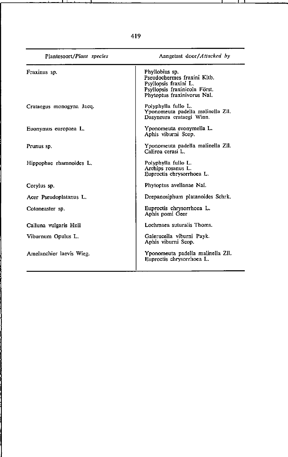| Plantesoort/Plant species | Aangetast door/Attacked by                                                                                                             |  |  |  |  |  |  |  |
|---------------------------|----------------------------------------------------------------------------------------------------------------------------------------|--|--|--|--|--|--|--|
| Fraxinus sp.              | Phyllobius sp.<br>Pseudochermes fraxini Kltb.<br>Psyllopsis fraxini L.<br>Psyllopsis fraxinicola Först.<br>Phytoptus fraxinivorus Nal. |  |  |  |  |  |  |  |
| Crataegus monogyna Jacq.  | Polyphylla fullo L.<br>Yponomeuta padella malinella Zll,<br>Dasyneura crataegi Winn.                                                   |  |  |  |  |  |  |  |
| Euonymus europaea L.      | Yponomeuta evonymella L.<br>Aphis viburni Scop.                                                                                        |  |  |  |  |  |  |  |
| Prunus sp.                | Yponomeuta padella malinella Zll.<br>Caliroa cerasi L.                                                                                 |  |  |  |  |  |  |  |
| Hippophae rhamnoides L.   | Polyphylla fullo L.<br>Archips rosanus L.<br>Euproctis chrysorrhoea L.                                                                 |  |  |  |  |  |  |  |
| Corylus sp.               | Phytoptus avellanae Nal.                                                                                                               |  |  |  |  |  |  |  |
| Acer Pseudoplatanus L.    | Drepanosiphum platanoides Schrk.                                                                                                       |  |  |  |  |  |  |  |
| Cotoneaster sp.           | Euproctis chrysorrhoea L.<br>Aphis pomi Geer                                                                                           |  |  |  |  |  |  |  |
| Calluna vulgaris Hull     | Lochmaea suturalis Thoms.                                                                                                              |  |  |  |  |  |  |  |
| Viburnum Opulus L.        | Galerucella viburni Payk.<br>Aphis viburni Scop.                                                                                       |  |  |  |  |  |  |  |
| Amelanchier laevis Wieg.  | Yponomeuta padella malinella Zll.<br>Euproctis chrysorrhoea L.                                                                         |  |  |  |  |  |  |  |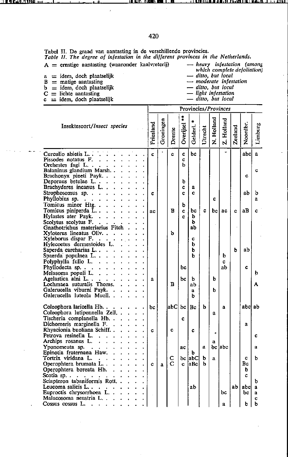Tabel II. De graad van aantasting in de verschillende provincies.<br>*Table II. The degree of infestation in the different provinces in the Netherlands.* A = ernstige aantasting (waaronder kaalvreterij)

a = idem, doch plaatselijk <br>
B = matige aantasting <br> *B* = matige aantasting <br> *a - moderate infes.* 

- $\overline{b}$  = idem, doch plaatselijk<br>C = lichte aantasting
- 
- <sup>C</sup>**= lichte aantasting** c **= idem, doch plaatselijk**

*which complete defoliation*)<br>*which complete defoliation*)<br>*aitto, but local* 

*- moderate infes/olion* 

*- ditto, hut loeal* 

*- light in/es/alion* 

*- ditto, but local* 

|                                               | Provincies/Provinces |              |        |           |              |              |            |            |         |          |              |
|-----------------------------------------------|----------------------|--------------|--------|-----------|--------------|--------------|------------|------------|---------|----------|--------------|
| Insektesoort/Insect species                   | Friesland            | Groningen    | Drente | Overijsel | Gelderl.     | Utrecht      | N. Holland | Z. Holland | Zeeland | Noordbr. | Limburg      |
| Curculio abietis L.                           | c.                   |              | c.     | Ć         | bc           |              |            | ۰.         |         | abcl     | $\mathbf{a}$ |
| Pissodes notatus F.                           |                      |              |        | c         |              |              |            |            |         |          |              |
| Orchestes fagi L                              |                      |              |        | ь         |              |              |            |            |         |          |              |
| Balaninus glandium Marsh                      |                      |              |        |           |              |              |            |            |         |          | c            |
| Brachonyx pineti Payk.                        |                      |              |        |           |              |              |            |            |         | Ć        |              |
| Deporaus betulae L.                           |                      |              |        | ь         |              |              |            |            |         |          |              |
| Brachyderes incanus L<br>$\ddot{\phantom{0}}$ |                      |              |        | Ċ         | $\mathbf{a}$ |              |            |            |         |          |              |
| Strophosomus sp.                              | c                    |              |        | c         | c            |              |            |            |         | aЪ       | b            |
| Phyllobius sp.                                |                      |              |        |           |              |              | c          |            |         |          | a            |
| Tomicus minor Htg                             |                      |              |        | ь         |              |              |            |            |         |          |              |
| Tomicus piniperda L                           | ac                   |              | в      | Ċ         | bс           | c            | bc.        | ac         | Ċ.      | aВ       | c            |
| Hylastes ater Payk.                           |                      |              |        | c         | ь            |              |            |            |         |          |              |
| Scolytus scolytus $F_1$                       |                      |              |        |           | ь            |              | à.         |            |         |          |              |
| Gnathotrichus materiarius Fitch.              |                      |              |        |           | ab           |              |            |            |         |          |              |
| Xyloterus lineatus Oliv.                      |                      |              | ъ      |           |              |              |            |            |         |          |              |
| Xyleborus dispar F.                           |                      |              |        |           | c            |              |            |            |         |          |              |
| Hylecoetus dermestoides L.                    |                      |              |        |           | b            |              |            |            |         |          |              |
| Saperda carcharias L                          |                      |              |        |           | ь            |              |            |            | b       | ab       |              |
| Spaerda populnea L.                           |                      |              |        |           | h            |              |            | ь          |         |          |              |
| Polyphylla fullo L.                           |                      |              |        |           |              |              |            | c          |         |          |              |
| Phyllodecta sp. $\ldots$                      |                      |              |        | bc        |              |              |            | ab         |         | Ċ.       |              |
| Melasoma populi L.                            |                      |              |        |           |              |              |            |            |         |          | b            |
| Agelastica alni L.,                           | a                    |              | B      | bc        | b            |              | b          |            |         |          |              |
| Lochmaea suturalis Thoms.                     |                      |              |        |           | ab           |              |            |            |         |          | A            |
| Galerucella viburni Payk.                     |                      |              |        |           | a            |              | ь          |            |         |          |              |
| Galerucella luteola Muell. .                  |                      |              |        |           | h            |              |            |            |         |          |              |
| Coleophora laricella Hb.                      | bc                   |              | abCl   |           | $bc $ Bc     | ь            |            | a          |         | abcl ab  |              |
| Coleophora lutipennella Zell                  |                      |              |        |           |              |              |            |            |         |          |              |
| ¥<br>Tischeria complanella Hb                 |                      |              |        | c.        |              |              | a          |            |         |          |              |
| Dichomeris marginella F                       |                      |              |        |           |              |              |            |            |         | a        |              |
| Rhyacionia buoliana Schiff                    |                      |              | c      |           |              |              |            |            |         |          |              |
| у.<br>Petrova resinella L                     | c                    |              |        |           | c            |              | R.         |            |         |          | Ć            |
| Archips rosanus L                             |                      |              |        |           |              |              |            |            |         |          |              |
| Yponomeuta sp. $\blacksquare$ .               |                      |              |        | ac        |              | $\mathbf{a}$ | a          | bc abc     |         |          | a            |
| Epinotia fraternana Haw.                      |                      |              |        |           | ь            |              |            |            |         |          |              |
| Tortrix viridana L.                           |                      |              | с      |           | bc labCl     | ь            | a          |            |         | c        | Ъ            |
| Operophtera brumata L                         | c                    | $\mathbf{a}$ | C      | C         | la Bc∤       | ь            |            |            |         | Вc       |              |
| Operophtera boreata Hb.<br>$\mathbf{r}$       |                      |              |        |           |              |              |            |            |         | ь        |              |
| Scotia sp.                                    |                      |              |        |           |              |              |            |            |         | с        |              |
| Sciapteron tabaniformis Rott                  |                      |              |        |           |              |              |            |            |         |          | b            |
| Leucoma salicis L                             |                      |              |        |           | ab           |              |            |            | ab      | abcl     | a            |
| Euproctis chrysorrhoea L                      |                      |              |        |           |              |              |            | bc         |         | bc       | a            |
| Malacosoma neustria L                         |                      |              |        |           |              |              |            |            |         |          | Ċ            |
| Cossus cossus L.                              |                      |              |        |           |              |              |            | a          |         | b        | b            |
|                                               |                      |              |        |           |              |              |            |            |         |          |              |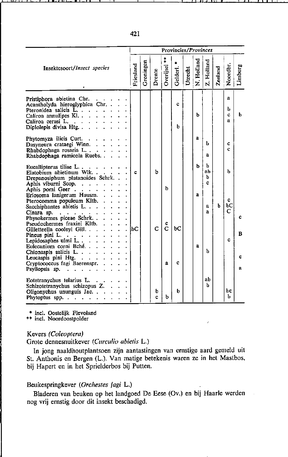| Provincies/Provinces                                                                                                                                                                        |           |           |        |                     |          |         |              |                   |         |                  |         |
|---------------------------------------------------------------------------------------------------------------------------------------------------------------------------------------------|-----------|-----------|--------|---------------------|----------|---------|--------------|-------------------|---------|------------------|---------|
| Insektesoort/Insect species                                                                                                                                                                 | Friesland | Groningen | Drente | Overijsel           | Gelderl. | Utrecht | N. Holland   | Z. Holland        | Zeeland | Noordbr.         | Limburg |
| Pristiphora abietina Chr.<br>Acantholyda hieroglyphica Chr. .<br>Pteronidea salicis L.<br>Caliroa annulipes Kl.<br>Caliroa cerasi L<br>Diplolepis divisa Htg<br>$\sim 10^{-1}$              |           |           |        |                     | c<br>b   |         | ь            |                   |         | a<br>ь<br>c<br>a | b       |
| Phytomyza ilicis Curt.<br>Dasyneura crataegi Winn<br>Rhabdophaga rosaria L.<br>Rhabdophaga ramicola Ruebs<br>$\sim$                                                                         |           |           |        |                     |          |         | $\mathbf{a}$ | ь<br>a            |         | c<br>Ċ           |         |
| Eucallipterus tiliae $L \cdot \cdot \cdot \cdot$<br>Elatobium abietinum Wlk.<br>Drepanosiphum platanoides Schrk<br>Aphis viburni Scop.<br>Aphis pomi Geer                                   | c         |           | b      | b                   |          |         | ь            | ь<br>ab<br>Ь<br>c |         | ь                |         |
| Eriosoma lanigerum Hausm.<br>Pterocomma populeum Kltb.<br>Sacchiphantes abietis $L_{1}$ , , , , , ,<br>Cinara sp. $\cdots$ $\cdots$ $\cdots$<br>Physokermes piceae Schrk.                   |           |           |        |                     |          |         | a            | a<br>a            | h       | c<br>bС<br>C     | c       |
| Pseudochermes fraxini Kltb.<br>Gilletteella cooleyi Gill.<br>J.<br>Pineus pini $L \cdot \cdot \cdot \cdot \cdot$<br>Lepidosaphes ulmi $L \cdot \cdot \cdot \cdot$<br>Eulecanium corni Bché. | lьC       |           | C      | ¢<br>$\overline{C}$ | bC       |         | a            |                   |         | c                | в       |
| Chionaspis salicis L.<br>Leucaspis pini Htg. $\ldots$ $\ldots$<br>Cryptococcus fagi Baerenspr.<br>Psyllopsis sp.                                                                            |           |           |        | $\mathbf{a}$        | c        |         |              | b                 |         |                  | c<br>a  |
| Eotetranychus telarius L.<br>Schizotetranychus schizopus Z.<br>Oligonychus ununguis Jac.<br>Phytoptus spp. $\cdots$ $\cdots$                                                                |           |           | b<br>Ċ | b                   | ь        |         |              | ab<br>ь           |         | bc<br>ь          |         |

**\*** *incl.* **Oostelijk Flevoland** 

**\*\* inel. Noordoostpolder** 

# Kevers (Coleoptera)

# Grote dennesnuitkever (Curculio abietis L.)

In jong naaldhoutplantsoen zijn aantastingen van ernstige aard gemeld uit St. Anthonis en Bergen (L.). Van matige betekenis waren ze in het Mastbos, bij Hapert en in het Sprielderbos bij Putten.

### Beukespringkever (Orchestes fagi L.)

Bladeren van beuken op het landgoed De Eese (Ov.) en bij HaarIe werden nog vrij ernstig door dit insekt beschadigd.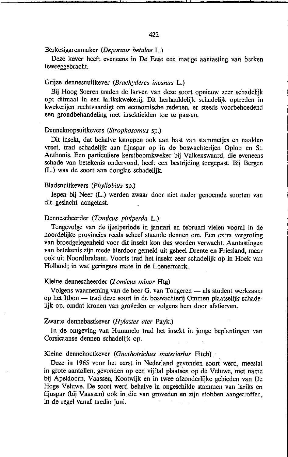Berkesigarenmaker *(Deporaus belulae* L.)

Deze kever heeft eveneens in De Eese een matige aantasting van berken teweeggebracht.

### Grijze dennesnuitkever *(Brachyderes incanus* L.)

Bij Hoog Soeren traden de larven van deze soort opnieuw zeer schadelijk op; ditmaal in een larikskwekerij. Dit herhaaldelijk schadelijk optreden in kwekerijen rechtvaardigt om economische redenen, er steeds voorbehoedend een grondbehandeling met insekticiden toe te passen.

# Denneknopsuitkevers *(Slrophosomus* sp.)

Dit insekt, dat behalve knoppen ook aan bast van stammetjes en naalden vreet, trad schadelijk aan fijnspar op in de boswachterijen Oploo en St. Anthonis. Een particuliere kerstboomkweker bij Valkenswaard, die eveneens schade van betekenis ondervond, heeft een bestrijding toegepast. Bij Bergen (L.) was de soort aan douglas schadelijk.

#### Bladsnuitkevers *(Phyllobius* sp.)

Iepen bij Neer (L.) werden zwaar door niet nader genoemde soorten van dit geslacht aangetast.

#### Dennescheerder *(Tomicus piniperda* L.)

Tengevolge van de ijzel periode in januari en februari vielen vooral in de noordelijke provincies reeds scheef staande dennen om. Een extra vergroting van broedgelegenheid voor dit insekt kon dus worden verwacht. Aantastingen van betekenis zijn mede hierdoor gemeld uit geheel Drente en Friesland, maar ook uit Noordbrabant. Voorts trad het insekt zeer schadelijk op in Hoek van Holland; in wat geringere mate in de Loenermark.

#### Kleine dennescheerder *(Tomicus minor* Htg)

Volgens waarneming van de heer G. van Tongeren — als student werkzaam op het Itbon - trad deze soort in de boswachterij Ommen plaatselijk schade· lijk op, omdat kronen van groveden er volgens hem door afstierven.

### Zwarte dennebastkever *(Hylasles aler* Payk.)

In de omgeving van Hummelo trad het insekt in jonge beplantingen van Corsicaanse dennen schadelijk op.

#### Kleine dennehoutkever *(Gnalholrichlls maleriarius* Fiteh)

Deze in 1965 voor het eerst in Nederland gevonden soort werd, meestal in grote aantallen, gevonden op een vijftal plaatsen op de Veluwe, met name bij Apeldoorn, Vaassen, Kootwijk en in twee afzonderlijke gebieden van De Hoge Veluwe. De soort werd behalve in ongeschilde stammen van lariks en fijnspar (bij Vaassen) ook in die van groveden en zijn stobben aangetroffen, in de regel vanaf medio juni.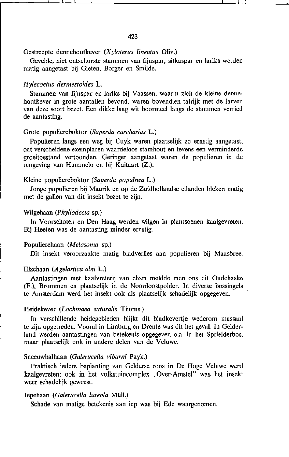Gevelde. niet ontschorste stammen van fijnspar. sitkaspar en lariks werden matig aangetast bij Gieten. Borger en Smilde.

# *Hylecoetus dermesloides* L.

Stammen van fijnspar en lariks bij Vaassen, waarin zich de kleine dennehoutkever in grote aantallen bevond, waren bovendien talrijk met de larven van deze soort bezet. Een dikke laag wit boormeel langs de stammen verried de aantasting.

# Grote populiereboktor *(Saperda carcharias* L.)

Populieren langs een weg bij Cuyk waren plaatselijk zo ernstig aangetast, dat verscheidene exemplaren waardeloos stamhout en tevens een verminderde groeitoestand vertoonden. Geringer aangetast waren de populieren in de omgeving van Hummelo en bij Kuitaart (Z.).

# Kleine populiereboktor *(Saperda populnea* L.)

Jonge populieren bij Maurik en op de Zuidhollandse eilanden bleken matig met de gallen van dit insekt bezet te zijn.

# Wilgehaan *(Phyllodec/a* sp.)

In Voorschoten en Den Haag werden wilgen in plantsoenen kaalgevreten. Bij Heeten was de aantasting minder ernstig.

# Populierehaan *(Melasoma* sp.)

Dit insekt veroorzaakte matig bladverlies aan populieren bij Maasbree.

# Elzehaan *(Agelaslica alni* L.)

Aantastingen met kaalvreterij van elzen meldde men ons uit Oudehaske (F.), Brummen en plaatselijk in de Noordoostpolder. In diverse bossingels te Amsterdam werd het insekt ook als plaatselijk schadelijk opgegeven.

# Heidekever *(Lochmaea sull/ralis* Thoms.)

In verschillende heidegebieden blijkt dit bladkevertje wederom massaal te zijn opgetreden. Vooral in Limburg en Drente was dit het geval. In Gelderland werden aantastingen van betekenis opgegeven o.a. in het Sprielderbos, **maar plaatselijk ook in andere delen van de Veluwe.** 

# Sneenwbalhaan *(Galeruceila vibl/mi* Payk.)

Praktisch iedere beplanting van Gelderse roos in De Hoge Veluwe werd kaalgevreten; ook in het volkstuincomplex "Over-Amstel" was het insekt weer schadelijk geweest.

# Iepehaan *(Galerucella luteola* Müll.)

Schade van matige betekenis aan iep was bij Ede waargenomen.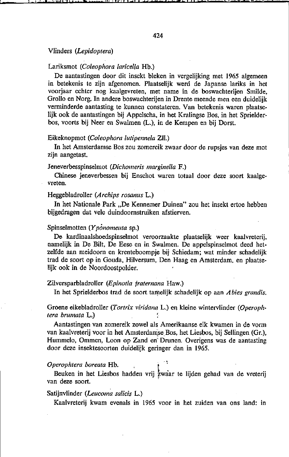### Vlinders *(Lepidoptera)*

### Lariksmot *(Coleophora laricel/a* Hb.)

De aantastingen door dit insekt bleken in vergelijking met 1965 algemeen in betekenis te zijn afgenomen. Plaatselijk werd de Japanse lariks in het voorjaar echter nog kaalgevreten, met name in de boswachterijen Smilde, GroIlo en Norg. In andere boswachterijen in Drente meende men een duidelijk verminderde aantasting te kunnen constateren. Van betekenis waren plaatselijk ook de aantastingen bij Appelscha, in het Kralingse Bos, in het Sprielderbos, voorts bij Neer en Swalmen (L.), in de Kempen en bij Dorst.

#### Eikeknopmot *(Coleophora lutipennela* ZIl.)

In het Amsterdamse Bos zou zomereik zwaar door de rupsjes van deze mot zijn aangetast.

### Jeneverbesspinselmot *(Dichomeris marginelIa* F.)

Chinese jeneverbessen bij Enschot waren totaal door deze soort kaalge**vreten.** 

## Heggebladroller *(Archips rosanus* L.)

In het Nationale Park "De Kennemer Duinen" zou het insekt ertoe hebben bijgedragen dat vele duindoornstruiken afstierven.

#### Spinselmotten *(Ypónomellta* sp.)

De kardinaalshoedspinselmot veroorzaakte plaatselijk weer kaalvreterij. namelijk in De Bilt, De Eese en in Swalmen. De appelspinselmot deed hetzelfde aan meidoorn en krenteboompje bij Schiedam; wat minder schadelijk trad de soort op in Gouda, Hilversum,\_ Den Haag en Amsterdam, en plaatselijk ook in de Noordoostpolder.

### Zilversparbladroller *(Epinotia fraternana* Haw.)

In het Sprielderbos trad de soort tamelijk schadelijk op aan *A bies grandis*.

# Groene eikebladroller *(Tortrix viridana L.)* en kleine wintervlinder *(Operophtera brumata* L.)

Aantastingen van zomereik zowel als Amerikaanse eik kwamen in de vorm van kaalvreterij voor in het Amsterdamse Bos, het Liesbos, bij Sellingen (Gr.), Hummelo, Ommen, Loon op Zand en' Drunen. Overigens was de aantasting door deze insektesoorten duidelijk geringer dan in 1965.

#### *Operophtera boreata* Hb.

Beuken in het Liesbos hadden vrij zwaar te lijden gehad van de vreterij van deze soort.

### Satijnvlinder *(Leucoma salicis L.)*

Kaalvreterij kwam evenals in 1965 voor in het zuiden van ons land: in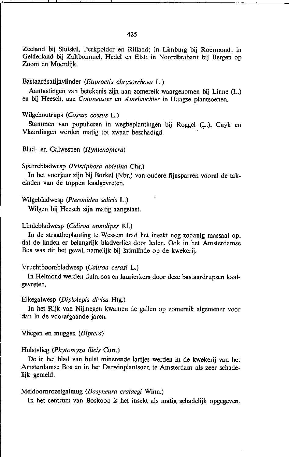Zeeland bij Sluiskil. Perkpolder en Rilland; in Limburg bij Roermond; in Gelderland bij Zaltbommel. Hedel en EIst; in Noordbrabant bij Bergen op Zoom en Moerdijk.

## Bastaardsatijnvlinder *(Euproctis chrysorrhoea* L.)

Aantastingen van betekenis zijn aan zomereik waargenomen bij Linne (L.) en bij Heesch, aan *Cotoneaster* en *Amelanchier* in Haagse plantsoenen.

# Wilgehoutrups *(Cossus cossus* L.)

Stammen van populieren in wegbeplantingen bij Roggel (L.). Cuyk en Vlaardingen werden matig tot zwaar beschadigd.

# Blad- en Galwespen (Hymenoptera)

### Sparrebladwesp (Pristiphora abietina Chr.)

In het voorjaar zijn bij BorkeI (Nbr.) van oudere fijnsparren vooral de tak· einden van de toppen kaalgevreten.

#### Wilgebladwesp *(P/eronidea salicis* L.)

Wilgen bij Heeseh zijn matig aangetast.

### Lindebladwesp *(Caliroa annulipes* Kl.)

In de straatbeplanting te Wessem trad het insekt nog zodanig massaal op, dat de linden er belangrijk bladverlies door leden. Ook in het Amsterdamse Bos was dit het geval. namelijk bij krimIinde op de kwekerij.

# Vruchtboombladwesp *(Caliroa cerasi* L.)

In Helmond werden duinroos en laurierkers door deze bastaardrupsen kaal· gevreten.

### Eikegalwesp *(Diplolepis divisa* Htg.)

In het Rijk van Nijmegen kwamen de gallen op zomereik algemener voor dan in de voorafgaande jaren.

Vliegen en muggen *(Dip/era)* 

# Hulstvlieg (Phytomyza ilicis Curt.)

De in het blad van hulst minerende larfjes werden in de kwekerij van het Amsterdamse Bos en in het Darwinplantsoen te Amsterdam als zeer schade· lijk gemeld.

### Meidoornrozetgalmug *(Dasyneura crataegi* Winn.)

In het centrum van Boskoop is het insekt als matig schadelijk opgegeven.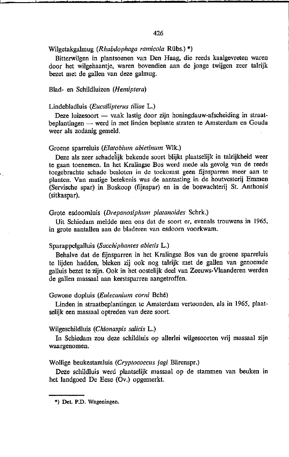#### Wilgetakgalmug *(Rhabdophaga ramicola* Rübs.) \*)

Bitterwilgen in plantsoenen van Den Haag, die reeds kaalgevreten waren door het wilgehaantje, waren bovendien aan de jonge twijgen zeer talrijk bezet met de gallen van deze galmug.

### Blad· en Schildluizen *(Hemiptera)*

#### Lindebladluis *(Euca/lipterus tiliae* L.)

Deze luizesoort - vaak lastig door zijn honingdauw-afscheiding in straatbeplantingen - werd in met linden beplante straten te Amsterdam en Gouda weer als zodanig gemeld.

# Groene sparreluis *(Elatobium abietinum* WIk.)

Deze als zeer schadelijk bekende soort blijkt plaatselijk in talrijkheid weer te gaan toenemen. In het Kralingse Bos werd mede als gevolg van de reeds toegebrachte schade besloten in de toekomst geen fijnsparren meer aan tc planten. Van matige betekenis was de aantasting in de houtvesterij Emmen (Servische spar) in Boskoop (fijnspar) en in de boswachterij St. Anthonis (sitkaspar).

#### Grote esdoornluis *(Drepanosiphum platanoides* Schrk.)

Uit Schiedam meldde men ons dat de soort er, evenals trouwens in 1965, in grote aantallen aan de bladeren van esdoorn voorkwam.

#### Sparappelgalluis *(Sacchiphantes abietis* L.)

Behalve dat de fijnsparren in het Kralingse Bos van de groene sparreluis te lijden hadden, bleken zij ook nog talrijk met de gallen van genoemde galluis bezet te zijn. Ook in het oostelijk deel van Zeeuws· Vlaanderen werden de gallen massaal aan kerstsparren aangetroffen.

#### Gewone dopluis *(Eulecanium corni* Bché)

Linden in straatbeplantingen te Amsterdam vertoonden, als in 1965, plaat· selijk een massaal optreden van deze soort.

#### Wilgeschildluis *(Chionaspis salids* L.)

In Schiedam zou deze schildluis op allerlei wilgesoorten vrij massaal zijn waargenomen.

### Wollige beukestamluis *(Cryptococcus fagi* Bärenspr.)

Deze schildluis werd plaatselijk massaal op de stammen van beuken in het landgoed De Eese (Ov.) opgemerkt.

<sup>\*)</sup> Det. P.D. Wageningen.